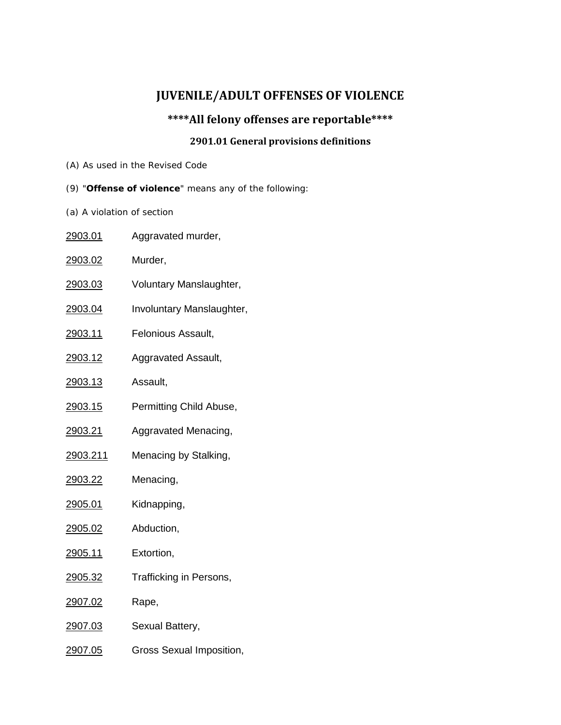## **JUVENILE/ADULT OFFENSES OF VIOLENCE**

## **\*\*\*\*All felony offenses are reportable\*\*\*\***

## **2901.01 General provisions definitions**

- (A) As used in the Revised Code
- (9) "**Offense of violence**" means any of the following:
- (a) A violation of section

| <u>2903.01</u> | Aggravated murder,        |
|----------------|---------------------------|
| 2903.02        | Murder,                   |
| <u>2903.03</u> | Voluntary Manslaughter,   |
| <u>2903.04</u> | Involuntary Manslaughter, |
| <u>2903.11</u> | Felonious Assault,        |
| <u>2903.12</u> | Aggravated Assault,       |
| <u>2903.13</u> | Assault,                  |
| 2903.15        | Permitting Child Abuse,   |
| 2903.21        | Aggravated Menacing,      |
| 2903.211       | Menacing by Stalking,     |
| 2903.22        | Menacing,                 |
| <u>2905.01</u> | Kidnapping,               |
| 2905.02        | Abduction,                |
| <u>2905.11</u> | Extortion,                |
| <u>2905.32</u> | Trafficking in Persons,   |
| 2907.02        | Rape,                     |
| <u>2907.03</u> | Sexual Battery,           |
| 2907.05        | Gross Sexual Imposition,  |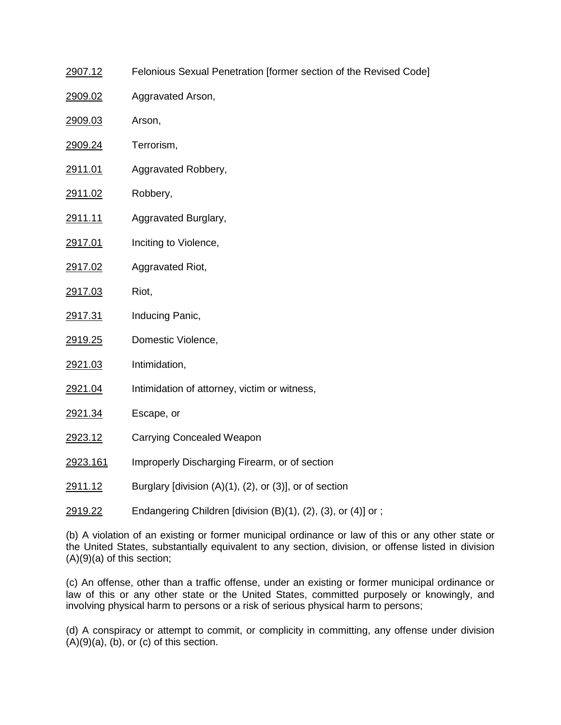| <u>2907.12</u> | Felonious Sexual Penetration [former section of the Revised Code] |
|----------------|-------------------------------------------------------------------|
| 2909.02        | Aggravated Arson,                                                 |
| 2909.03        | Arson,                                                            |
| 2909.24        | Terrorism,                                                        |
| 2911.01        | Aggravated Robbery,                                               |
| 2911.02        | Robbery,                                                          |
| <u>2911.11</u> | Aggravated Burglary,                                              |
| 2917.01        | Inciting to Violence,                                             |
| 2917.02        | Aggravated Riot,                                                  |
| 2917.03        | Riot,                                                             |
| <u>2917.31</u> | Inducing Panic,                                                   |
| 2919.25        | Domestic Violence,                                                |
| 2921.03        | Intimidation,                                                     |
| 2921.04        | Intimidation of attorney, victim or witness,                      |
| 2921.34        | Escape, or                                                        |
| <u>2923.12</u> | <b>Carrying Concealed Weapon</b>                                  |
| 2923.161       | Improperly Discharging Firearm, or of section                     |
| <u>2911.12</u> | Burglary [division $(A)(1)$ , $(2)$ , or $(3)$ ], or of section   |
| <u>2919.22</u> | Endangering Children [division (B)(1), (2), (3), or (4)] or ;     |

(b) A violation of an existing or former municipal ordinance or law of this or any other state or the United States, substantially equivalent to any section, division, or offense listed in division (A)(9)(a) of this section;

(c) An offense, other than a traffic offense, under an existing or former municipal ordinance or law of this or any other state or the United States, committed purposely or knowingly, and involving physical harm to persons or a risk of serious physical harm to persons;

(d) A conspiracy or attempt to commit, or complicity in committing, any offense under division  $(A)(9)(a)$ ,  $(b)$ , or  $(c)$  of this section.